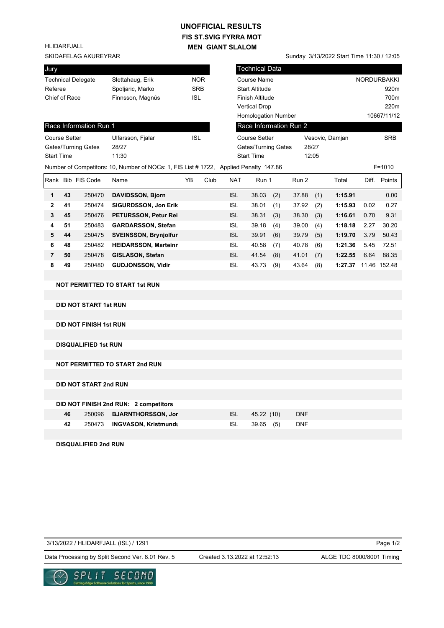## **FIS ST.SVIG FYRRA MOT MEN GIANT SLALOM UNOFFICIAL RESULTS**

HLIDARFJALL

## SKIDAFELAG AKUREYRAR SUNDAFELAG AKUREYRAR SUNDAFELAG AKUREYRAR SUNDAFELAG AKUREYRAR

| Jury                 |    |                               |                                                                                       |            |      |                            | Technical Data             |     |                        |       |                      |      |                    |
|----------------------|----|-------------------------------|---------------------------------------------------------------------------------------|------------|------|----------------------------|----------------------------|-----|------------------------|-------|----------------------|------|--------------------|
|                      |    | <b>Technical Delegate</b>     | Slettahaug, Erik                                                                      | <b>NOR</b> |      |                            | Course Name                |     |                        |       |                      |      | <b>NORDURBAKKI</b> |
| Referee              |    |                               | Spoljaric, Marko                                                                      | <b>SRB</b> |      |                            | <b>Start Altitude</b>      |     |                        |       |                      |      | 920m               |
| Chief of Race        |    |                               | Finnsson, Magnús                                                                      | <b>ISL</b> |      |                            | Finish Altitude            |     |                        |       |                      |      | 700m               |
|                      |    |                               |                                                                                       |            |      |                            | <b>Vertical Drop</b>       |     |                        |       |                      |      | 220m               |
|                      |    |                               |                                                                                       |            |      |                            | <b>Homologation Number</b> |     |                        |       |                      |      | 10667/11/12        |
|                      |    | Race Information Run 1        |                                                                                       |            |      |                            |                            |     | Race Information Run 2 |       |                      |      |                    |
| <b>Course Setter</b> |    |                               | Ulfarsson, Fjalar                                                                     | <b>ISL</b> |      |                            | <b>Course Setter</b>       |     |                        |       | Vesovic, Damjan      |      | <b>SRB</b>         |
| Gates/Turning Gates  |    |                               | 28/27                                                                                 |            |      | <b>Gates/Turning Gates</b> |                            |     |                        | 28/27 |                      |      |                    |
| <b>Start Time</b>    |    |                               | 11:30                                                                                 |            |      |                            | <b>Start Time</b>          |     |                        | 12:05 |                      |      |                    |
|                      |    |                               | Number of Competitors: 10, Number of NOCs: 1, FIS List # 1722, Applied Penalty 147.86 |            |      |                            |                            |     |                        |       |                      |      | $F = 1010$         |
|                      |    | Rank Bib FIS Code             | Name                                                                                  | YB         | Club | <b>NAT</b>                 | Run 1                      |     | Run 2                  |       | Total                |      | Diff. Points       |
| 1                    | 43 | 250470                        | <b>DAVIDSSON, Bjorn</b>                                                               |            |      | <b>ISL</b>                 | 38.03                      | (2) | 37.88                  | (1)   | 1:15.91              |      | 0.00               |
| 2                    | 41 | 250474                        | <b>SIGURDSSON, Jon Erik</b>                                                           |            |      | <b>ISL</b>                 | 38.01                      | (1) | 37.92                  | (2)   | 1:15.93              | 0.02 | 0.27               |
| 3                    | 45 | 250476                        | PETURSSON, Petur Rei                                                                  |            |      | <b>ISL</b>                 | 38.31                      | (3) | 38.30                  | (3)   | 1:16.61              | 0.70 | 9.31               |
| 4                    | 51 | 250483                        | <b>GARDARSSON, Stefan</b>                                                             |            |      | <b>ISL</b>                 | 39.18                      | (4) | 39.00                  | (4)   | 1:18.18              | 2.27 | 30.20              |
| 5                    | 44 | 250475                        | <b>SVEINSSON, Brynjolfur</b>                                                          |            |      | <b>ISL</b>                 | 39.91                      | (6) | 39.79                  | (5)   | 1:19.70              | 3.79 | 50.43              |
| 6                    | 48 | 250482                        | <b>HEIDARSSON, Marteinn</b>                                                           |            |      | <b>ISL</b>                 | 40.58                      | (7) | 40.78                  | (6)   | 1:21.36              | 5.45 | 72.51              |
| $\overline{7}$       | 50 | 250478                        | GISLASON, Stefan                                                                      |            |      | <b>ISL</b>                 | 41.54                      | (8) | 41.01                  | (7)   | 1:22.55              | 6.64 | 88.35              |
| 8                    | 49 | 250480                        | <b>GUDJONSSON, Vidir</b>                                                              |            |      | <b>ISL</b>                 | 43.73                      | (9) | 43.64                  | (8)   | 1:27.37 11.46 152.48 |      |                    |
|                      |    |                               |                                                                                       |            |      |                            |                            |     |                        |       |                      |      |                    |
|                      |    |                               | <b>NOT PERMITTED TO START 1st RUN</b>                                                 |            |      |                            |                            |     |                        |       |                      |      |                    |
|                      |    |                               |                                                                                       |            |      |                            |                            |     |                        |       |                      |      |                    |
|                      |    | <b>DID NOT START 1st RUN</b>  |                                                                                       |            |      |                            |                            |     |                        |       |                      |      |                    |
|                      |    |                               |                                                                                       |            |      |                            |                            |     |                        |       |                      |      |                    |
|                      |    | <b>DID NOT FINISH 1st RUN</b> |                                                                                       |            |      |                            |                            |     |                        |       |                      |      |                    |
|                      |    |                               |                                                                                       |            |      |                            |                            |     |                        |       |                      |      |                    |
|                      |    | <b>DISQUALIFIED 1st RUN</b>   |                                                                                       |            |      |                            |                            |     |                        |       |                      |      |                    |
|                      |    |                               |                                                                                       |            |      |                            |                            |     |                        |       |                      |      |                    |
|                      |    |                               | <b>NOT PERMITTED TO START 2nd RUN</b>                                                 |            |      |                            |                            |     |                        |       |                      |      |                    |
|                      |    |                               |                                                                                       |            |      |                            |                            |     |                        |       |                      |      |                    |
|                      |    | <b>DID NOT START 2nd RUN</b>  |                                                                                       |            |      |                            |                            |     |                        |       |                      |      |                    |
|                      |    |                               |                                                                                       |            |      |                            |                            |     |                        |       |                      |      |                    |
|                      |    |                               | DID NOT FINISH 2nd RUN: 2 competitors                                                 |            |      |                            |                            |     |                        |       |                      |      |                    |
|                      | 46 | 250096                        | <b>BJARNTHORSSON, Jor</b>                                                             |            |      | <b>ISL</b>                 | 45.22 (10)                 |     | <b>DNF</b>             |       |                      |      |                    |
|                      | 42 | 250473                        | <b>INGVASON, Kristmundt</b>                                                           |            |      | <b>ISL</b>                 | 39.65 (5)                  |     | <b>DNF</b>             |       |                      |      |                    |
|                      |    |                               |                                                                                       |            |      |                            |                            |     |                        |       |                      |      |                    |
|                      |    | <b>DISQUALIFIED 2nd RUN</b>   |                                                                                       |            |      |                            |                            |     |                        |       |                      |      |                    |

3/13/2022 / HLIDARFJALL (ISL) / 1291

Page 1/2

Data Processing by Split Second Ver. 8.01 Rev. 5 Created 3.13.2022 at 12:52:13 ALGE TDC 8000/8001 Timing

Created 3.13.2022 at 12:52:13